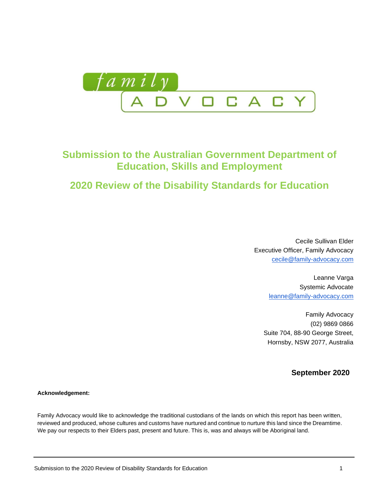

# **Submission to the Australian Government Department of Education, Skills and Employment**

# **2020 Review of the Disability Standards for Education**

Cecile Sullivan Elder Executive Officer, Family Advocacy [cecile@family-advocacy.com](mailto:cecile@family-advocacy.com)

> Leanne Varga Systemic Advocate [leanne@family-advocacy.com](mailto:leanne@family-advocacy.com)

Family Advocacy (02) 9869 0866 Suite 704, 88-90 George Street, Hornsby, NSW 2077, Australia

**September 2020**

**Acknowledgement:**

Family Advocacy would like to acknowledge the traditional custodians of the lands on which this report has been written, reviewed and produced, whose cultures and customs have nurtured and continue to nurture this land since the Dreamtime. We pay our respects to their Elders past, present and future. This is, was and always will be Aboriginal land.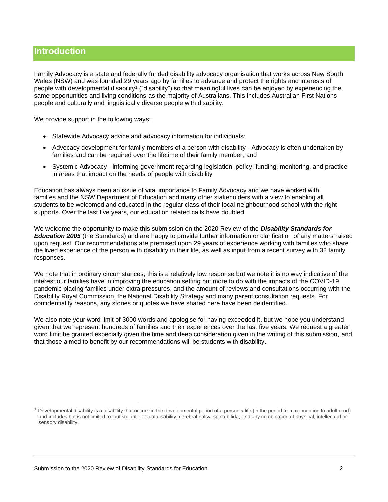## **Introduction**

Family Advocacy is a state and federally funded disability advocacy organisation that works across New South Wales (NSW) and was founded 29 years ago by families to advance and protect the rights and interests of people with developmental disability<sup>1</sup> ("disability") so that meaningful lives can be enjoyed by experiencing the same opportunities and living conditions as the majority of Australians. This includes Australian First Nations people and culturally and linguistically diverse people with disability.

We provide support in the following ways:

- Statewide Advocacy advice and advocacy information for individuals;
- Advocacy development for family members of a person with disability Advocacy is often undertaken by families and can be required over the lifetime of their family member; and
- Systemic Advocacy informing government regarding legislation, policy, funding, monitoring, and practice in areas that impact on the needs of people with disability

Education has always been an issue of vital importance to Family Advocacy and we have worked with families and the NSW Department of Education and many other stakeholders with a view to enabling all students to be welcomed and educated in the regular class of their local neighbourhood school with the right supports. Over the last five years, our education related calls have doubled.

We welcome the opportunity to make this submission on the 2020 Review of the *Disability Standards for Education 2005* (the Standards) and are happy to provide further information or clarification of any matters raised upon request. Our recommendations are premised upon 29 years of experience working with families who share the lived experience of the person with disability in their life, as well as input from a recent survey with 32 family responses.

We note that in ordinary circumstances, this is a relatively low response but we note it is no way indicative of the interest our families have in improving the education setting but more to do with the impacts of the COVID-19 pandemic placing families under extra pressures, and the amount of reviews and consultations occurring with the Disability Royal Commission, the National Disability Strategy and many parent consultation requests. For confidentiality reasons, any stories or quotes we have shared here have been deidentified.

We also note your word limit of 3000 words and apologise for having exceeded it, but we hope you understand given that we represent hundreds of families and their experiences over the last five years. We request a greater word limit be granted especially given the time and deep consideration given in the writing of this submission, and that those aimed to benefit by our recommendations will be students with disability.

<sup>&</sup>lt;sup>1</sup> Developmental disability is a disability that occurs in the developmental period of a person's life (in the period from conception to adulthood) and includes but is not limited to: autism, intellectual disability, cerebral palsy, spina bifida, and any combination of physical, intellectual or sensory disability.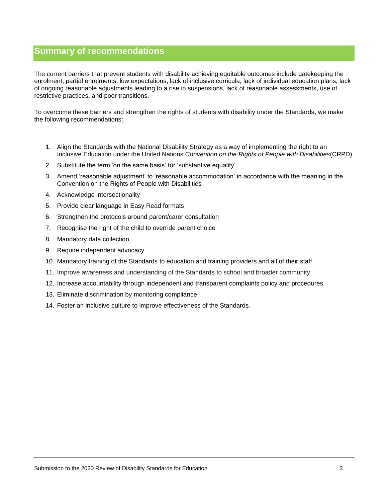## **Summary of recommendations**

The current barriers that prevent students with disability achieving equitable outcomes include gatekeeping the enrolment, partial enrolments, low expectations, lack of inclusive curricula, lack of individual education plans, lack of ongoing reasonable adjustments leading to a rise in suspensions, lack of reasonable assessments, use of restrictive practices, and poor transitions.

To overcome these barriers and strengthen the rights of students with disability under the Standards, we make the following recommendations:

- 1. Align the Standards with the National Disability Strategy as a way of implementing the right to an Inclusive Education under the United Nations *Convention on the Rights of People with Disabilities*(CRPD)
- 2. Substitute the term 'on the same basis' for 'substantive equality'
- 3. Amend 'reasonable adjustment' to 'reasonable accommodation' in accordance with the meaning in the Convention on the Rights of People with Disabilities
- 4. Acknowledge intersectionality
- 5. Provide clear language in Easy Read formats
- 6. Strengthen the protocols around parent/carer consultation
- 7. Recognise the right of the child to override parent choice
- 8. Mandatory data collection
- 9. Require independent advocacy
- 10. Mandatory training of the Standards to education and training providers and all of their staff
- 11. Improve awareness and understanding of the Standards to school and broader community
- 12. Increase accountability through independent and transparent complaints policy and procedures
- 13. Eliminate discrimination by monitoring compliance
- 14. Foster an inclusive culture to improve effectiveness of the Standards.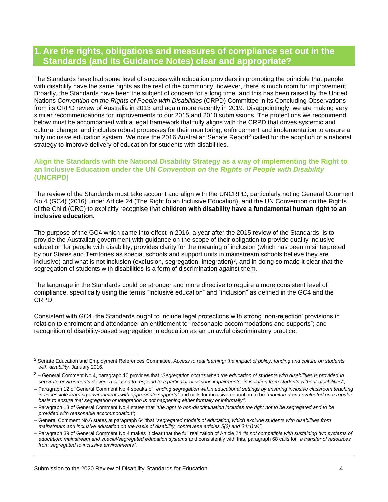## **1. Are the rights, obligations and measures of compliance set out in the Standards (and its Guidance Notes) clear and appropriate?**

The Standards have had some level of success with education providers in promoting the principle that people with disability have the same rights as the rest of the community, however, there is much room for improvement. Broadly, the Standards have been the subject of concern for a long time, and this has been raised by the United Nations *Convention on the Rights of People with Disabilities* (CRPD) Committee in its Concluding Observations from its CRPD review of Australia in 2013 and again more recently in 2019. Disappointingly, we are making very similar recommendations for improvements to our 2015 and 2010 submissions. The protections we recommend below must be accompanied with a legal framework that fully aligns with the CRPD that drives systemic and cultural change, and includes robust processes for their monitoring, enforcement and implementation to ensure a fully inclusive education system. We note the 2016 Australian Senate Report<sup>2</sup> called for the adoption of a national strategy to improve delivery of education for students with disabilities.

## **Align the Standards with the National Disability Strategy as a way of implementing the Right to an Inclusive Education under the UN** *Convention on the Rights of People with Disability* **(UNCRPD)**

The review of the Standards must take account and align with the UNCRPD, particularly noting General Comment No.4 (GC4) (2016) under Article 24 (The Right to an Inclusive Education), and the UN Convention on the Rights of the Child (CRC) to explicitly recognise that **children with disability have a fundamental human right to an inclusive education.** 

The purpose of the GC4 which came into effect in 2016, a year after the 2015 review of the Standards, is to provide the Australian government with guidance on the scope of their obligation to provide quality inclusive education for people with disability, provides clarity for the meaning of inclusion (which has been misinterpreted by our States and Territories as special schools and support units in mainstream schools believe they are inclusive) and what is not inclusion (exclusion, segregation, integration)<sup>3</sup>, and in doing so made it clear that the segregation of students with disabilities is a form of discrimination against them.

The language in the Standards could be stronger and more directive to require a more consistent level of compliance, specifically using the terms "inclusive education" and "inclusion" as defined in the GC4 and the CRPD.

Consistent with GC4, the Standards ought to include legal protections with strong 'non-rejection' provisions in relation to enrolment and attendance; an entitlement to "reasonable accommodations and supports"; and recognition of disability-based segregation in education as an unlawful discriminatory practice.

<sup>2</sup> Senate Education and Employment References Committee, *Access to real learning: the impact of policy, funding and culture on students with disability,* January 2016.

<sup>3</sup> – General Comment No.4, paragraph 10 provides that "*Segregation occurs when the education of students with disabilities is provided in separate environments designed or used to respond to a particular or various impairments, in isolation from students without disabilities*";

<sup>–</sup> Paragraph 12 of General Comment No.4 speaks of *"ending segregation within educational settings by ensuring inclusive classroom teaching in accessible learning environments with appropriate supports*" and calls for inclusive education to be *"monitored and evaluated on a regular basis to ensure that segregation or integration is not happening either formally or informally"*.

<sup>–</sup> Paragraph 13 of General Comment No.4 states that *"the right to non-discrimination includes the right not to be segregated and to be provided with reasonable accommodation"*;

<sup>–</sup> General Comment No.6 states at paragraph 64 that "*segregated models of education, which exclude students with disabilities from mainstream and inclusive education on the basis of disability, contravene articles 5(2) and 24(1)(a)"*;

<sup>–</sup> Paragraph 39 of General Comment No.4 makes it clear that the full realization of Article 24 *"is not compatible with sustaining two systems of education: mainstream and special/segregated education systems"*and consistently with this, paragraph 68 calls for *"a transfer of resources from segregated to inclusive environments"*.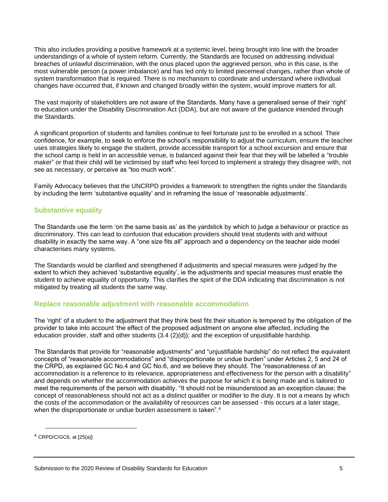This also includes providing a positive framework at a systemic level, being brought into line with the broader understandings of a whole of system reform. Currently, the Standards are focused on addressing individual breaches of unlawful discrimination, with the onus placed upon the aggrieved person, who in this case, is the most vulnerable person (a power imbalance) and has led only to limited piecemeal changes, rather than whole of system transformation that is required. There is no mechanism to coordinate and understand where individual changes have occurred that, if known and changed broadly within the system, would improve matters for all.

The vast majority of stakeholders are not aware of the Standards. Many have a generalised sense of their 'right' to education under the Disability Discrimination Act (DDA), but are not aware of the guidance intended through the Standards.

A significant proportion of students and families continue to feel fortunate just to be enrolled in a school. Their confidence, for example, to seek to enforce the school's responsibility to adjust the curriculum, ensure the teacher uses strategies likely to engage the student, provide accessible transport for a school excursion and ensure that the school camp is held in an accessible venue, is balanced against their fear that they will be labelled a "trouble maker" or that their child will be victimised by staff who feel forced to implement a strategy they disagree with, not see as necessary, or perceive as "too much work".

Family Advocacy believes that the UNCRPD provides a framework to strengthen the rights under the Standards by including the term 'substantive equality' and in reframing the issue of 'reasonable adjustments'.

## **Substantive equality**

The Standards use the term 'on the same basis as' as the yardstick by which to judge a behaviour or practice as discriminatory. This can lead to confusion that education providers should treat students with and without disability in exactly the same way. A "one size fits all" approach and a dependency on the teacher aide model characterises many systems.

The Standards would be clarified and strengthened if adjustments and special measures were judged by the extent to which they achieved 'substantive equality', ie the adjustments and special measures must enable the student to achieve equality of opportunity. This clarifies the spirit of the DDA indicating that discrimination is not mitigated by treating all students the same way.

#### **Replace reasonable adjustment with reasonable accommodation**

The 'right' of a student to the adjustment that they think best fits their situation is tempered by the obligation of the provider to take into account 'the effect of the proposed adjustment on anyone else affected, including the education provider, staff and other students (3.4 (2)(d)); and the exception of unjustifiable hardship.

The Standards that provide for "reasonable adjustments" and "unjustifiable hardship" do not reflect the equivalent concepts of "reasonable accommodations" and "disproportionate or undue burden" under Articles 2, 5 and 24 of the CRPD, as explained GC No.4 and GC No.6, and we believe they should. The "reasonableness of an accommodation is a reference to its relevance, appropriateness and effectiveness for the person with a disability" and depends on whether the accommodation achieves the purpose for which it is being made and is tailored to meet the requirements of the person with disability. "It should not be misunderstood as an exception clause; the concept of reasonableness should not act as a distinct qualifier or modifier to the duty. It is not a means by which the costs of the accommodation or the availability of resources can be assessed - this occurs at a later stage, when the disproportionate or undue burden assessment is taken".<sup>4</sup>

<sup>4</sup> CRPD/C/GC6, at [25(a)]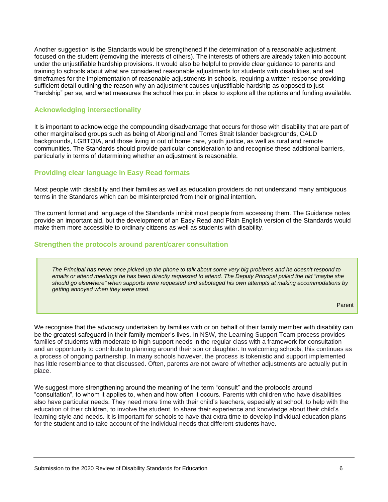Another suggestion is the Standards would be strengthened if the determination of a reasonable adjustment focused on the student (removing the interests of others). The interests of others are already taken into account under the unjustifiable hardship provisions. It would also be helpful to provide clear guidance to parents and training to schools about what are considered reasonable adjustments for students with disabilities, and set timeframes for the implementation of reasonable adjustments in schools, requiring a written response providing sufficient detail outlining the reason why an adjustment causes unjustifiable hardship as opposed to just "hardship" per se, and what measures the school has put in place to explore all the options and funding available.

## **Acknowledging intersectionality**

It is important to acknowledge the compounding disadvantage that occurs for those with disability that are part of other marginalised groups such as being of Aboriginal and Torres Strait Islander backgrounds, CALD backgrounds, LGBTQIA, and those living in out of home care, youth justice, as well as rural and remote communities. The Standards should provide particular consideration to and recognise these additional barriers, particularly in terms of determining whether an adjustment is reasonable.

## **Providing clear language in Easy Read formats**

Most people with disability and their families as well as education providers do not understand many ambiguous terms in the Standards which can be misinterpreted from their original intention.

The current format and language of the Standards inhibit most people from accessing them. The Guidance notes provide an important aid, but the development of an Easy Read and Plain English version of the Standards would make them more accessible to ordinary citizens as well as students with disability.

#### **Strengthen the protocols around parent/carer consultation**

*The Principal has never once picked up the phone to talk about some very big problems and he doesn't respond to emails or attend meetings he has been directly requested to attend. The Deputy Principal pulled the old "maybe she should go elsewhere" when supports were requested and sabotaged his own attempts at making accommodations by getting annoyed when they were used.*

We recognise that the advocacy undertaken by families with or on behalf of their family member with disability can be the greatest safeguard in their family member's lives. In NSW, the Learning Support Team process provides families of students with moderate to high support needs in the regular class with a framework for consultation and an opportunity to contribute to planning around their son or daughter. In welcoming schools, this continues as a process of ongoing partnership. In many schools however, the process is tokenistic and support implemented has little resemblance to that discussed. Often, parents are not aware of whether adjustments are actually put in place.

We suggest more strengthening around the meaning of the term "consult" and the protocols around "consultation", to whom it applies to, when and how often it occurs. Parents with children who have disabilities also have particular needs. They need more time with their child's teachers, especially at school, to help with the education of their children, to involve the student, to share their experience and knowledge about their child's learning style and needs. It is important for schools to have that extra time to develop individual education plans for the student and to take account of the individual needs that different students have.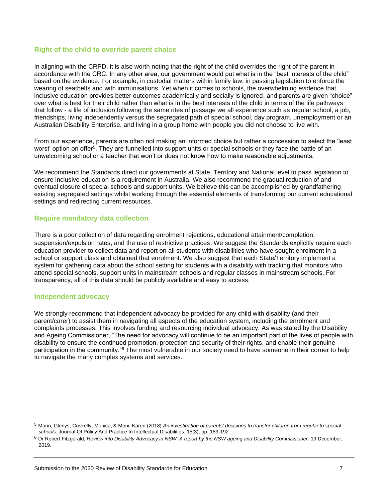## **Right of the child to override parent choice**

In aligning with the CRPD, it is also worth noting that the right of the child overrides the right of the parent in accordance with the CRC. In any other area, our government would put what is in the "best interests of the child" based on the evidence. For example, in custodial matters within family law, in passing legislation to enforce the wearing of seatbelts and with immunisations. Yet when it comes to schools, the overwhelming evidence that inclusive education provides better outcomes academically and socially is ignored, and parents are given "choice" over what is best for their child rather than what is in the best interests of the child in terms of the life pathways that follow - a life of inclusion following the same rites of passage we all experience such as regular school, a job, friendships, living independently versus the segregated path of special school, day program, unemployment or an Australian Disability Enterprise, and living in a group home with people you did not choose to live with.

From our experience, parents are often not making an informed choice but rather a concession to select the 'least worst' option on offer<sup>5</sup>. They are funnelled into support units or special schools or they face the battle of an unwelcoming school or a teacher that won't or does not know how to make reasonable adjustments.

We recommend the Standards direct our governments at State. Territory and National level to pass legislation to ensure inclusive education is a requirement in Australia. We also recommend the gradual reduction of and eventual closure of special schools and support units. We believe this can be accomplished by grandfathering existing segregated settings whilst working through the essential elements of transforming our current educational settings and redirecting current resources.

## **Require mandatory data collection**

There is a poor collection of data regarding enrolment rejections, educational attainment/completion, suspension/expulsion rates, and the use of restrictive practices. We suggest the Standards explicitly require each education provider to collect data and report on all students with disabilities who have sought enrolment in a school or support class and obtained that enrolment. We also suggest that each State/Territory implement a system for gathering data about the school setting for students with a disability with tracking that monitors who attend special schools, support units in mainstream schools and regular classes in mainstream schools. For transparency, all of this data should be publicly available and easy to access.

## **Independent advocacy**

We strongly recommend that independent advocacy be provided for any child with disability (and their parent/carer) to assist them in navigating all aspects of the education system, including the enrolment and complaints processes. This involves funding and resourcing individual advocacy. As was stated by the Disability and Ageing Commissioner, "The need for advocacy will continue to be an important part of the lives of people with disability to ensure the continued promotion, protection and security of their rights, and enable their genuine participation in the community."<sup>6</sup> The most vulnerable in our society need to have someone in their corner to help to navigate the many complex systems and services.

<sup>5</sup> Mann, Glenys, Cuskelly, Monica, & Moni, Karen (2018) *An investigation of parents' decisions to transfer children from regular to special schools.* Journal Of Policy And Practice In Intellectual Disabilities, 15(3), pp. 183-192.

<sup>6</sup> Dr Robert Fitzgerald, *Review into Disability Advocacy in NSW: A report by the NSW ageing and Disability Commissioner,* 19 December, 2019.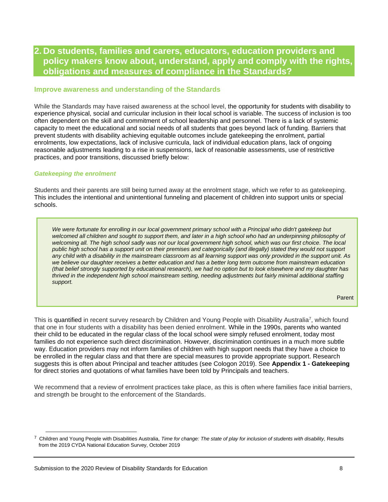## **2. Do students, families and carers, educators, education providers and policy makers know about, understand, apply and comply with the rights, obligations and measures of compliance in the Standards?**

#### **Improve awareness and understanding of the Standards**

While the Standards may have raised awareness at the school level, the opportunity for students with disability to experience physical, social and curricular inclusion in their local school is variable. The success of inclusion is too often dependent on the skill and commitment of school leadership and personnel. There is a lack of systemic capacity to meet the educational and social needs of all students that goes beyond lack of funding. Barriers that prevent students with disability achieving equitable outcomes include gatekeeping the enrolment, partial enrolments, low expectations, lack of inclusive curricula, lack of individual education plans, lack of ongoing reasonable adjustments leading to a rise in suspensions, lack of reasonable assessments, use of restrictive practices, and poor transitions, discussed briefly below:

#### *Gatekeeping the enrolment*

Students and their parents are still being turned away at the enrolment stage, which we refer to as gatekeeping. This includes the intentional and unintentional funneling and placement of children into support units or special schools.

*We were fortunate for enrolling in our local government primary school with a Principal who didn't gatekeep but welcomed all children and sought to support them, and later in a high school who had an underpinning philosophy of welcoming all. The high school sadly was not our local government high school, which was our first choice. The local public high school has a support unit on their premises and categorically (and illegally) stated they would not support any child with a disability in the mainstream classroom as all learning support was only provided in the support unit. As we believe our daughter receives a better education and has a better long term outcome from mainstream education (that belief strongly supported by educational research), we had no option but to look elsewhere and my daughter has thrived in the independent high school mainstream setting, needing adjustments but fairly minimal additional staffing support.*

This is quantified in recent survey research by Children and Young People with Disability Australia<sup>7</sup>, which found that one in four students with a disability has been denied enrolment. While in the 1990s, parents who wanted their child to be educated in the regular class of the local school were simply refused enrolment, today most families do not experience such direct discrimination. However, discrimination continues in a much more subtle way. Education providers may not inform families of children with high support needs that they have a choice to be enrolled in the regular class and that there are special measures to provide appropriate support. Research suggests this is often about Principal and teacher attitudes (see Cologon 2019). See **Appendix 1 - Gatekeeping** for direct stories and quotations of what families have been told by Principals and teachers.

We recommend that a review of enrolment practices take place, as this is often where families face initial barriers, and strength be brought to the enforcement of the Standards.

<sup>7</sup> Children and Young People with Disabilities Australia, *Time for change: The state of play for inclusion of students with disability,* Results from the 2019 CYDA National Education Survey, October 2019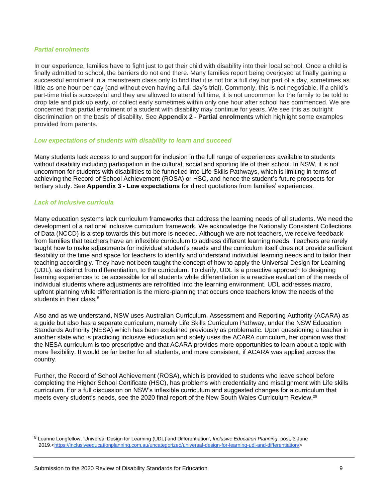#### *Partial enrolments*

In our experience, families have to fight just to get their child with disability into their local school. Once a child is finally admitted to school, the barriers do not end there. Many families report being overjoyed at finally gaining a successful enrolment in a mainstream class only to find that it is not for a full day but part of a day, sometimes as little as one hour per day (and without even having a full day's trial). Commonly, this is not negotiable. If a child's part-time trial is successful and they are allowed to attend full time, it is not uncommon for the family to be told to drop late and pick up early, or collect early sometimes within only one hour after school has commenced. We are concerned that partial enrolment of a student with disability may continue for years. We see this as outright discrimination on the basis of disability. See **Appendix 2 - Partial enrolments** which highlight some examples provided from parents.

#### *Low expectations of students with disability to learn and succeed*

Many students lack access to and support for inclusion in the full range of experiences available to students without disability including participation in the cultural, social and sporting life of their school. In NSW, it is not uncommon for students with disabilities to be funnelled into Life Skills Pathways, which is limiting in terms of achieving the Record of School Achievement (ROSA) or HSC, and hence the student's future prospects for tertiary study. See **Appendix 3 - Low expectations** for direct quotations from families' experiences.

#### *Lack of Inclusive curricula*

Many education systems lack curriculum frameworks that address the learning needs of all students. We need the development of a national inclusive curriculum framework. We acknowledge the Nationally Consistent Collections of Data (NCCD) is a step towards this but more is needed. Although we are not teachers, we receive feedback from families that teachers have an inflexible curriculum to address different learning needs. Teachers are rarely taught how to make adjustments for individual student's needs and the curriculum itself does not provide sufficient flexibility or the time and space for teachers to identify and understand individual learning needs and to tailor their teaching accordingly. They have not been taught the concept of how to apply the Universal Design for Learning (UDL), as distinct from differentiation, to the curriculum. To clarify, UDL is a proactive approach to designing learning experiences to be accessible for all students while differentiation is a reactive evaluation of the needs of individual students where adjustments are retrofitted into the learning environment. UDL addresses macro, upfront planning while differentiation is the micro-planning that occurs once teachers know the needs of the students in their class.<sup>8</sup>

Also and as we understand, NSW uses Australian Curriculum, Assessment and Reporting Authority (ACARA) as a guide but also has a separate curriculum, namely Life Skills Curriculum Pathway, under the NSW Education Standards Authority (NESA) which has been explained previously as problematic. Upon questioning a teacher in another state who is practicing inclusive education and solely uses the ACARA curriculum, her opinion was that the NESA curriculum is too prescriptive and that ACARA provides more opportunities to learn about a topic with more flexibility. It would be far better for all students, and more consistent, if ACARA was applied across the country.

Further, the Record of School Achievement (ROSA), which is provided to students who leave school before completing the Higher School Certificate (HSC), has problems with credentiality and misalignment with Life skills curriculum. For a full discussion on NSW's inflexible curriculum and suggested changes for a curriculum that meets every student's needs, see the 2020 final report of the New South Wales Curriculum Review.<sup>29</sup>

<sup>8</sup> Leanne Longfellow, 'Universal Design for Learning (UDL) and Differentiation', *Inclusive Education Planning*, post, 3 June 2019.<https://inclusiveeducationplanning.com.au/uncategorized/universal-design-for-learning-udl-and-differentiation/>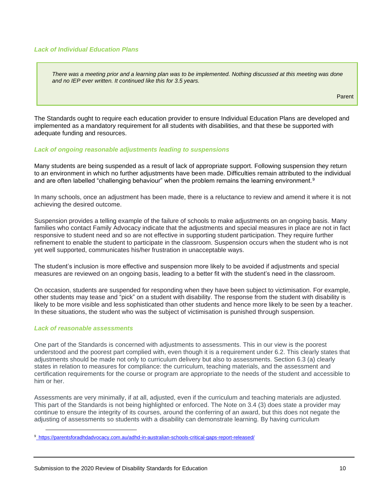#### *Lack of Individual Education Plans*

*There was a meeting prior and a learning plan was to be implemented. Nothing discussed at this meeting was done and no IEP ever written. It continued like this for 3.5 years.*

Parent

The Standards ought to require each education provider to ensure Individual Education Plans are developed and implemented as a mandatory requirement for all students with disabilities, and that these be supported with adequate funding and resources.

#### *Lack of ongoing reasonable adjustments leading to suspensions*

Many students are being suspended as a result of lack of appropriate support. Following suspension they return to an environment in which no further adjustments have been made. Difficulties remain attributed to the individual and are often labelled "challenging behaviour" when the problem remains the learning environment.<sup>9</sup>

In many schools, once an adjustment has been made, there is a reluctance to review and amend it where it is not achieving the desired outcome.

Suspension provides a telling example of the failure of schools to make adjustments on an ongoing basis. Many families who contact Family Advocacy indicate that the adjustments and special measures in place are not in fact responsive to student need and so are not effective in supporting student participation. They require further refinement to enable the student to participate in the classroom. Suspension occurs when the student who is not yet well supported, communicates his/her frustration in unacceptable ways.

The student's inclusion is more effective and suspension more likely to be avoided if adjustments and special measures are reviewed on an ongoing basis, leading to a better fit with the student's need in the classroom.

On occasion, students are suspended for responding when they have been subject to victimisation. For example, other students may tease and "pick" on a student with disability. The response from the student with disability is likely to be more visible and less sophisticated than other students and hence more likely to be seen by a teacher. In these situations, the student who was the subject of victimisation is punished through suspension.

#### *Lack of reasonable assessments*

One part of the Standards is concerned with adjustments to assessments. This in our view is the poorest understood and the poorest part complied with, even though it is a requirement under 6.2. This clearly states that adjustments should be made not only to curriculum delivery but also to assessments. Section 6.3 (a) clearly states in relation to measures for compliance: the curriculum, teaching materials, and the assessment and certification requirements for the course or program are appropriate to the needs of the student and accessible to him or her.

Assessments are very minimally, if at all, adjusted, even if the curriculum and teaching materials are adjusted. This part of the Standards is not being highlighted or enforced. The Note on 3.4 (3) does state a provider may continue to ensure the integrity of its courses, around the conferring of an award, but this does not negate the adjusting of assessments so students with a disability can demonstrate learning. By having curriculum

<sup>9</sup> [https://parentsforadhdadvocacy.com.au/adhd-in-australian-schools-critical-gaps-report-released/](%09https:/parentsforadhdadvocacy.com.au/adhd-in-australian-schools-critical-gaps-report-released/)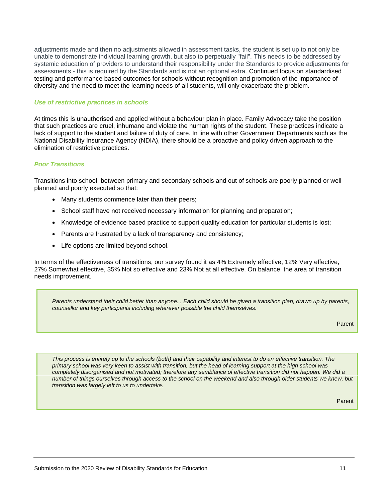adjustments made and then no adjustments allowed in assessment tasks, the student is set up to not only be unable to demonstrate individual learning growth, but also to perpetually "fail". This needs to be addressed by systemic education of providers to understand their responsibility under the Standards to provide adjustments for assessments - this is required by the Standards and is not an optional extra. Continued focus on standardised testing and performance based outcomes for schools without recognition and promotion of the importance of diversity and the need to meet the learning needs of all students, will only exacerbate the problem.

#### *Use of restrictive practices in schools*

At times this is unauthorised and applied without a behaviour plan in place. Family Advocacy take the position that such practices are cruel, inhumane and violate the human rights of the student. These practices indicate a lack of support to the student and failure of duty of care. In line with other Government Departments such as the National Disability Insurance Agency (NDIA), there should be a proactive and policy driven approach to the elimination of restrictive practices.

#### *Poor Transitions*

Transitions into school, between primary and secondary schools and out of schools are poorly planned or well planned and poorly executed so that:

- Many students commence later than their peers;
- School staff have not received necessary information for planning and preparation;
- Knowledge of evidence based practice to support quality education for particular students is lost;
- Parents are frustrated by a lack of transparency and consistency;
- Life options are limited beyond school.

In terms of the effectiveness of transitions, our survey found it as 4% Extremely effective, 12% Very effective, 27% Somewhat effective, 35% Not so effective and 23% Not at all effective. On balance, the area of transition needs improvement.

*Parents understand their child better than anyone... Each child should be given a transition plan, drawn up by parents, counsellor and key participants including wherever possible the child themselves.*

Parent

*This process is entirely up to the schools (both) and their capability and interest to do an effective transition. The primary school was very keen to assist with transition, but the head of learning support at the high school was completely disorganised and not motivated; therefore any semblance of effective transition did not happen. We did a number of things ourselves through access to the school on the weekend and also through older students we knew, but transition was largely left to us to undertake.*

Parent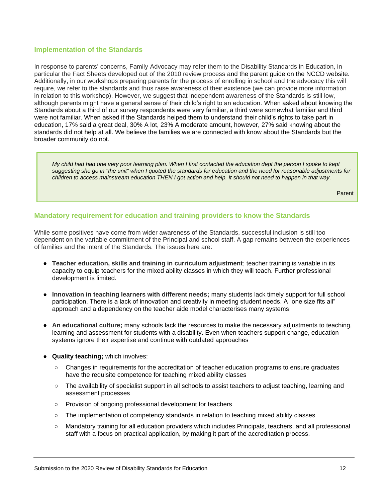## **Implementation of the Standards**

In response to parents' concerns, Family Advocacy may refer them to the Disability Standards in Education, in particular the Fact Sheets developed out of the 2010 review process and the parent guide on the NCCD website. Additionally, in our workshops preparing parents for the process of enrolling in school and the advocacy this will require, we refer to the standards and thus raise awareness of their existence (we can provide more information in relation to this workshop). However, we suggest that independent awareness of the Standards is still low, although parents might have a general sense of their child's right to an education. When asked about knowing the Standards about a third of our survey respondents were very familiar, a third were somewhat familiar and third were not familiar. When asked if the Standards helped them to understand their child's rights to take part in education, 17% said a great deal, 30% A lot, 23% A moderate amount, however, 27% said knowing about the standards did not help at all. We believe the families we are connected with know about the Standards but the broader community do not.

*My child had had one very poor learning plan. When I first contacted the education dept the person I spoke to kept suggesting she go in "the unit" when I quoted the standards for education and the need for reasonable adjustments for children to access mainstream education THEN I got action and help. It should not need to happen in that way.*

Parent

## **Mandatory requirement for education and training providers to know the Standards**

While some positives have come from wider awareness of the Standards, successful inclusion is still too dependent on the variable commitment of the Principal and school staff. A gap remains between the experiences of families and the intent of the Standards. The issues here are:

- **Teacher education, skills and training in curriculum adjustment**; teacher training is variable in its capacity to equip teachers for the mixed ability classes in which they will teach. Further professional development is limited.
- **Innovation in teaching learners with different needs;** many students lack timely support for full school participation. There is a lack of innovation and creativity in meeting student needs. A "one size fits all" approach and a dependency on the teacher aide model characterises many systems;
- **An educational culture;** many schools lack the resources to make the necessary adjustments to teaching, learning and assessment for students with a disability. Even when teachers support change, education systems ignore their expertise and continue with outdated approaches
- **Quality teaching;** which involves:
	- Changes in requirements for the accreditation of teacher education programs to ensure graduates have the requisite competence for teaching mixed ability classes
	- The availability of specialist support in all schools to assist teachers to adjust teaching, learning and assessment processes
	- Provision of ongoing professional development for teachers
	- The implementation of competency standards in relation to teaching mixed ability classes
	- Mandatory training for all education providers which includes Principals, teachers, and all professional staff with a focus on practical application, by making it part of the accreditation process.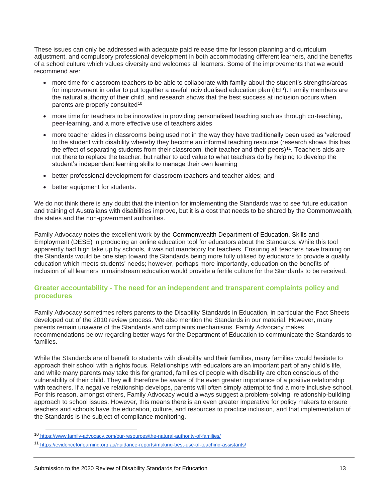These issues can only be addressed with adequate paid release time for lesson planning and curriculum adjustment, and compulsory professional development in both accommodating different learners, and the benefits of a school culture which values diversity and welcomes all learners. Some of the improvements that we would recommend are:

- more time for classroom teachers to be able to collaborate with family about the student's strengths/areas for improvement in order to put together a useful individualised education plan (IEP). Family members are the natural authority of their child, and research shows that the best success at inclusion occurs when parents are properly consulted<sup>10</sup>
- more time for teachers to be innovative in providing personalised teaching such as through co-teaching, peer-learning, and a more effective use of teachers aides
- more teacher aides in classrooms being used not in the way they have traditionally been used as 'velcroed' to the student with disability whereby they become an informal teaching resource (research shows this has the effect of separating students from their classroom, their teacher and their peers)<sup>11</sup>. Teachers aids are not there to replace the teacher, but rather to add value to what teachers do by helping to develop the student's independent learning skills to manage their own learning
- better professional development for classroom teachers and teacher aides; and
- better equipment for students.

We do not think there is any doubt that the intention for implementing the Standards was to see future education and training of Australians with disabilities improve, but it is a cost that needs to be shared by the Commonwealth, the states and the non-government authorities.

Family Advocacy notes the excellent work by the Commonwealth Department of Education, Skills and Employment (DESE) in producing an online education tool for educators about the Standards. While this tool apparently had high take up by schools, it was not mandatory for teachers. Ensuring all teachers have training on the Standards would be one step toward the Standards being more fully utilised by educators to provide a quality education which meets students' needs; however, perhaps more importantly, education on the benefits of inclusion of all learners in mainstream education would provide a fertile culture for the Standards to be received.

## **Greater accountability - The need for an independent and transparent complaints policy and procedures**

Family Advocacy sometimes refers parents to the Disability Standards in Education, in particular the Fact Sheets developed out of the 2010 review process. We also mention the Standards in our material. However, many parents remain unaware of the Standards and complaints mechanisms. Family Advocacy makes recommendations below regarding better ways for the Department of Education to communicate the Standards to families.

While the Standards are of benefit to students with disability and their families, many families would hesitate to approach their school with a rights focus. Relationships with educators are an important part of any child's life, and while many parents may take this for granted, families of people with disability are often conscious of the vulnerability of their child. They will therefore be aware of the even greater importance of a positive relationship with teachers. If a negative relationship develops, parents will often simply attempt to find a more inclusive school. For this reason, amongst others, Family Advocacy would always suggest a problem-solving, relationship-building approach to school issues. However, this means there is an even greater imperative for policy makers to ensure teachers and schools have the education, culture, and resources to practice inclusion, and that implementation of the Standards is the subject of compliance monitoring.

<sup>10</sup> <https://www.family-advocacy.com/our-resources/the-natural-authority-of-families/>

<sup>11</sup> <https://evidenceforlearning.org.au/guidance-reports/making-best-use-of-teaching-assistants/>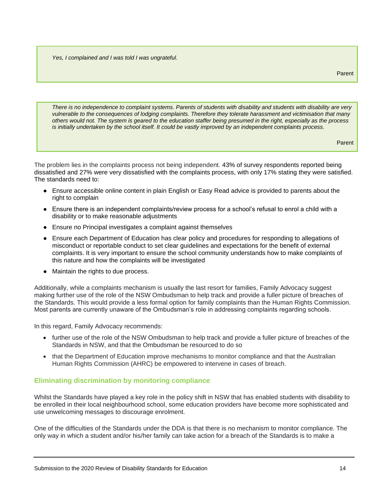*Yes, I complained and I was told I was ungrateful.*

*There is no independence to complaint systems. Parents of students with disability and students with disability are very vulnerable to the consequences of lodging complaints. Therefore they tolerate harassment and victimisation that many others would not. The system is geared to the education staffer being presumed in the right, especially as the process is initially undertaken by the school itself. It could be vastly improved by an independent complaints process.*

Parent

The problem lies in the complaints process not being independent. 43% of survey respondents reported being dissatisfied and 27% were very dissatisfied with the complaints process, with only 17% stating they were satisfied. The standards need to:

- Ensure accessible online content in plain English or Easy Read advice is provided to parents about the right to complain
- Ensure there is an independent complaints/review process for a school's refusal to enrol a child with a disability or to make reasonable adjustments
- Ensure no Principal investigates a complaint against themselves
- Ensure each Department of Education has clear policy and procedures for responding to allegations of misconduct or reportable conduct to set clear guidelines and expectations for the benefit of external complaints. It is very important to ensure the school community understands how to make complaints of this nature and how the complaints will be investigated
- Maintain the rights to due process.

Additionally, while a complaints mechanism is usually the last resort for families, Family Advocacy suggest making further use of the role of the NSW Ombudsman to help track and provide a fuller picture of breaches of the Standards. This would provide a less formal option for family complaints than the Human Rights Commission. Most parents are currently unaware of the Ombudsman's role in addressing complaints regarding schools.

In this regard, Family Advocacy recommends:

- further use of the role of the NSW Ombudsman to help track and provide a fuller picture of breaches of the Standards in NSW, and that the Ombudsman be resourced to do so
- that the Department of Education improve mechanisms to monitor compliance and that the Australian Human Rights Commission (AHRC) be empowered to intervene in cases of breach.

## **Eliminating discrimination by monitoring compliance**

Whilst the Standards have played a key role in the policy shift in NSW that has enabled students with disability to be enrolled in their local neighbourhood school, some education providers have become more sophisticated and use unwelcoming messages to discourage enrolment.

One of the difficulties of the Standards under the DDA is that there is no mechanism to monitor compliance. The only way in which a student and/or his/her family can take action for a breach of the Standards is to make a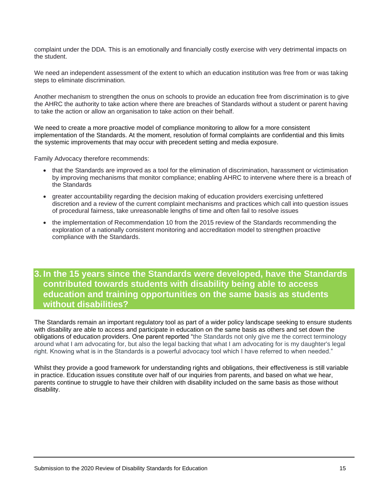complaint under the DDA. This is an emotionally and financially costly exercise with very detrimental impacts on the student.

We need an independent assessment of the extent to which an education institution was free from or was taking steps to eliminate discrimination.

Another mechanism to strengthen the onus on schools to provide an education free from discrimination is to give the AHRC the authority to take action where there are breaches of Standards without a student or parent having to take the action or allow an organisation to take action on their behalf.

We need to create a more proactive model of compliance monitoring to allow for a more consistent implementation of the Standards. At the moment, resolution of formal complaints are confidential and this limits the systemic improvements that may occur with precedent setting and media exposure.

Family Advocacy therefore recommends:

- that the Standards are improved as a tool for the elimination of discrimination, harassment or victimisation by improving mechanisms that monitor compliance; enabling AHRC to intervene where there is a breach of the Standards
- greater accountability regarding the decision making of education providers exercising unfettered discretion and a review of the current complaint mechanisms and practices which call into question issues of procedural fairness, take unreasonable lengths of time and often fail to resolve issues
- the implementation of Recommendation 10 from the 2015 review of the Standards recommending the exploration of a nationally consistent monitoring and accreditation model to strengthen proactive compliance with the Standards.

**3. In the 15 years since the Standards were developed, have the Standards contributed towards students with disability being able to access education and training opportunities on the same basis as students without disabilities?**

The Standards remain an important regulatory tool as part of a wider policy landscape seeking to ensure students with disability are able to access and participate in education on the same basis as others and set down the obligations of education providers. One parent reported "the Standards not only give me the correct terminology around what I am advocating for, but also the legal backing that what I am advocating for is my daughter's legal right. Knowing what is in the Standards is a powerful advocacy tool which I have referred to when needed."

Whilst they provide a good framework for understanding rights and obligations, their effectiveness is still variable in practice. Education issues constitute over half of our inquiries from parents, and based on what we hear, parents continue to struggle to have their children with disability included on the same basis as those without disability.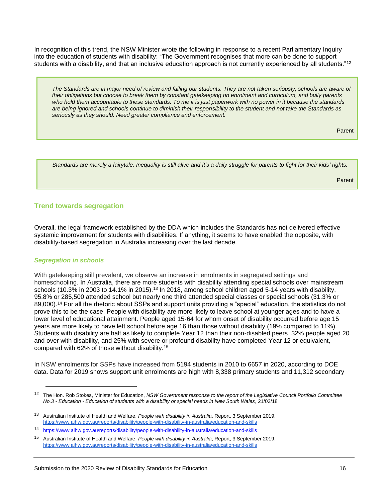In recognition of this trend, the NSW Minister wrote the following in response to a recent Parliamentary Inquiry into the education of students with disability: "The Government recognises that more can be done to support students with a disability, and that an inclusive education approach is not currently experienced by all students."<sup>12</sup>

*The Standards are in major need of review and failing our students. They are not taken seriously, schools are aware of their obligations but choose to break them by constant gatekeeping on enrolment and curriculum, and bully parents who hold them accountable to these standards. To me it is just paperwork with no power in it because the standards are being ignored and schools continue to diminish their responsibility to the student and not take the Standards as seriously as they should. Need greater compliance and enforcement.*

Parent

*Standards are merely a fairytale. Inequality is still alive and it's a daily struggle for parents to fight for their kids' rights.*

Parent

## **Trend towards segregation**

Overall, the legal framework established by the DDA which includes the Standards has not delivered effective systemic improvement for students with disabilities. If anything, it seems to have enabled the opposite, with disability-based segregation in Australia increasing over the last decade.

#### *Segregation in schools*

With gatekeeping still prevalent, we observe an increase in enrolments in segregated settings and homeschooling. In Australia, there are more students with disability attending special schools over mainstream schools (10.3% in 2003 to 14.1% in 2015).<sup>13</sup> In 2018, among school children aged 5-14 years with disability, 95.8% or 285,500 attended school but nearly one third attended special classes or special schools (31.3% or 89,000).<sup>14</sup> For all the rhetoric about SSPs and support units providing a "special" education, the statistics do not prove this to be the case. People with disability are more likely to leave school at younger ages and to have a lower level of educational attainment. People aged 15-64 for whom onset of disability occurred before age 15 years are more likely to have left school before age 16 than those without disability (19% compared to 11%). Students with disability are half as likely to complete Year 12 than their non-disabled peers. 32% people aged 20 and over with disability, and 25% with severe or profound disability have completed Year 12 or equivalent, compared with 62% of those without disability.<sup>15</sup>

In NSW enrolments for SSPs have increased from 5194 students in 2010 to 6657 in 2020, according to DOE data. Data for 2019 shows support unit enrolments are high with 8,338 primary students and 11,312 secondary

<sup>12</sup> The Hon. Rob Stokes, Minister for Education, *NSW Government response to the report of the Legislative Council Portfolio Committee No.3 - Education - Education of students with a disability or special needs in New South Wales*, 21/03/18

<sup>13</sup> Australian Institute of Health and Welfare, *People with disability in Australia*, Report, 3 September 2019[.](https://www.aihw.gov.au/reports/disability/people-with-disability-in-australia/education-and-skills) <https://www.aihw.gov.au/reports/disability/people-with-disability-in-australia/education-and-skills>

<sup>14</sup> [https://www.aihw.gov.au/reports/disability/people-with-disability-in-australia/education-and-skills](%09https:/www.aihw.gov.au/reports/disability/people-with-disability-in-australia/education-and-skills)

<sup>15</sup> Australian Institute of Health and Welfare, *People with disability in Australia*, Report, 3 September 2019. <https://www.aihw.gov.au/reports/disability/people-with-disability-in-australia/education-and-skills>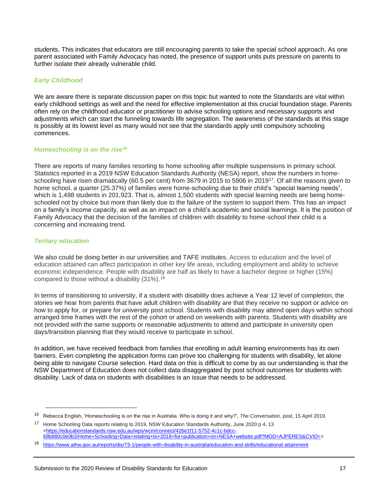students. This indicates that educators are still encouraging parents to take the special school approach. As one parent associated with Family Advocacy has noted, the presence of support units puts pressure on parents to further isolate their already vulnerable child.

## *Early Childhood*

We are aware there is separate discussion paper on this topic but wanted to note the Standards are vital within early childhood settings as well and the need for effective implementation at this crucial foundation stage. Parents often rely on the childhood educator or practitioner to advise schooling options and necessary supports and adjustments which can start the funneling towards life segregation. The awareness of the standards at this stage is possibly at its lowest level as many would not see that the standards apply until compulsory schooling commences.

#### *Homeschooling is on the rise<sup>16</sup>*

There are reports of many families resorting to home schooling after multiple suspensions in primary school. Statistics reported in a 2019 NSW Education Standards Authority (NESA) report, show the numbers in homeschooling have risen dramatically (60.5 per cent) from 3679 in 2015 to 5906 in 2019<sup>17</sup>. Of all the reasons given to home school, a quarter (25.37%) of families were home-schooling due to their child's "special learning needs", which is 1,498 students in 201,923. That is, almost 1,500 students with special learning needs are being homeschooled not by choice but more than likely due to the failure of the system to support them. This has an impact on a family's income capacity, as well as an impact on a child's academic and social learnings. It is the position of Family Advocacy that the decision of the families of children with disability to home-school their child is a concerning and increasing trend.

#### *Tertiary education*

We also could be doing better in our universities and TAFE institutes. Access to education and the level of education attained can affect participation in other key life areas, including employment and ability to achieve economic independence. People with disability are half as likely to have a bachelor degree or higher (15%) compared to those without a disability (31%).<sup>18</sup>

In terms of transitioning to university, if a student with disability does achieve a Year 12 level of completion, the stories we hear from parents that have adult children with disability are that they receive no support or advice on how to apply for, or prepare for university post school. Students with disability may attend open days within school arranged time frames with the rest of the cohort or attend on weekends with parents. Students with disability are not provided with the same supports or reasonable adjustments to attend and participate in university open days/transition planning that they would receive to participate in school.

In addition, we have received feedback from families that enrolling in adult learning environments has its own barriers. Even completing the application forms can prove too challenging for students with disability, let alone being able to navigate Course selection. Hard data on this is difficult to come by as our understanding is that the NSW Department of Education does not collect data disaggregated by post school outcomes for students with disability. Lack of data on students with disabilities is an issue that needs to be addressed.

<sup>16</sup> Rebecca English, 'Homeschooling is on the rise in Australia. Who is doing it and why?', *The Conversation,* post, 15 April 2019.

<sup>17</sup> Home Schooling Data reports relating to 2019, NSW Education Standards Authority, June 2020 p 4, 13 <https://educationstandards.nsw.edu.au/wps/wcm/connect/426e1f11-5752-4c1c-bdcc-68b880c0e0b3/Home+Schooling+Data+relating+to+2018+for+publication+on+NESA+website.pdf?MOD=AJPERES&CVID=>

<sup>18</sup> <https://www.aihw.gov.au/reports/dis/73-1/people-with-disability-in-australia/education-and-skills/educational-attainment>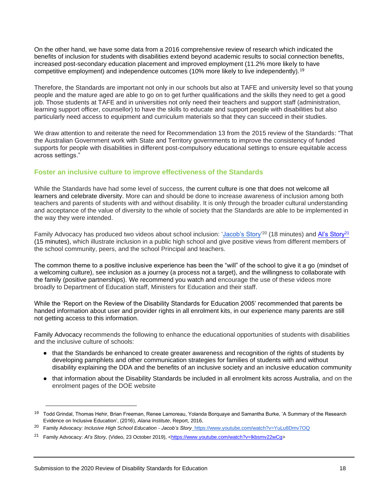On the other hand, we have some data from a 2016 comprehensive review of research which indicated the benefits of inclusion for students with disabilities extend beyond academic results to social connection benefits, increased post-secondary education placement and improved employment (11.2% more likely to have competitive employment) and independence outcomes (10% more likely to live independently).<sup>19</sup>

Therefore, the Standards are important not only in our schools but also at TAFE and university level so that young people and the mature aged are able to go on to get further qualifications and the skills they need to get a good job. Those students at TAFE and in universities not only need their teachers and support staff (administration, learning support officer, counsellor) to have the skills to educate and support people with disabilities but also particularly need access to equipment and curriculum materials so that they can succeed in their studies.

We draw attention to and reiterate the need for Recommendation 13 from the 2015 review of the Standards: "That the Australian Government work with State and Territory governments to improve the consistency of funded supports for people with disabilities in different post-compulsory educational settings to ensure equitable access across settings."

## **Foster an inclusive culture to improve effectiveness of the Standards**

While the Standards have had some level of success, the current culture is one that does not welcome all learners and celebrate diversity. More can and should be done to increase awareness of inclusion among both teachers and parents of students with and without disability. It is only through the broader cultural understanding and acceptance of the value of diversity to the whole of society that the Standards are able to be implemented in the way they were intended.

Family Advocacy has produced two videos about school inclusion: ['Jacob's Story'](https://www.youtube.com/watch?v=YuLu8Dmv7OQ&t=1s)<sup>20</sup> (18 minutes) and Al's Story<sup>21</sup> (15 minutes), which illustrate inclusion in a public high school and give positive views from different members of the school community, peers, and the school Principal and teachers.

The common theme to a positive inclusive experience has been the "will" of the school to give it a go (mindset of a welcoming culture), see inclusion as a journey (a process not a target), and the willingness to collaborate with the family (positive partnerships). We recommend you watch and encourage the use of these videos more broadly to Department of Education staff, Ministers for Education and their staff.

While the 'Report on the Review of the Disability Standards for Education 2005' recommended that parents be handed information about user and provider rights in all enrolment kits, in our experience many parents are still not getting access to this information.

Family Advocacy recommends the following to enhance the educational opportunities of students with disabilities and the inclusive culture of schools:

- that the Standards be enhanced to create greater awareness and recognition of the rights of students by developing pamphlets and other communication strategies for families of students with and without disability explaining the DDA and the benefits of an inclusive society and an inclusive education community
- that information about the Disability Standards be included in all enrolment kits across Australia, and on the enrolment pages of the DOE website

<sup>&</sup>lt;sup>19</sup> Todd Grindal, Thomas Hehir, Brian Freeman, Renee Lamoreau, Yolanda Borquaye and Samantha Burke, 'A Summary of the Research Evidence on Inclusive Education', (2016), *Alana Institute*, Report, 2016.

<sup>20</sup> Family Advocacy*: [Inclusive High School Education -](https://www.youtube.com/watch?v=YuLu8Dmv7OQ) Jacob's Story*<https://www.youtube.com/watch?v=YuLu8Dmv7OQ>

<sup>21</sup> Family Advocacy: *Al's Story,* (Video, 23 October 2019), [<https://www.youtube.com/watch?v=lkbsmv22wCg>](https://www.youtube.com/watch?v=lkbsmv22wCg)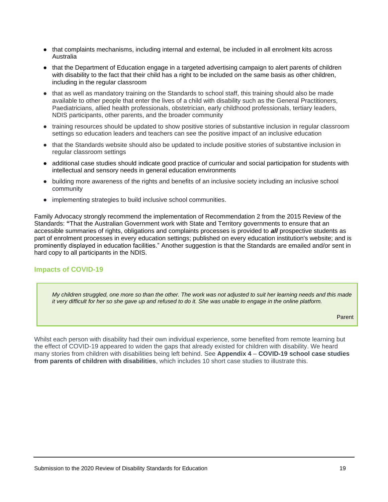- that complaints mechanisms, including internal and external, be included in all enrolment kits across Australia
- that the Department of Education engage in a targeted advertising campaign to alert parents of children with disability to the fact that their child has a right to be included on the same basis as other children, including in the regular classroom
- that as well as mandatory training on the Standards to school staff, this training should also be made available to other people that enter the lives of a child with disability such as the General Practitioners, Paediatricians, allied health professionals, obstetrician, early childhood professionals, tertiary leaders, NDIS participants, other parents, and the broader community
- training resources should be updated to show positive stories of substantive inclusion in regular classroom settings so education leaders and teachers can see the positive impact of an inclusive education
- that the Standards website should also be updated to include positive stories of substantive inclusion in regular classroom settings
- additional case studies should indicate good practice of curricular and social participation for students with intellectual and sensory needs in general education environments
- building more awareness of the rights and benefits of an inclusive society including an inclusive school community
- implementing strategies to build inclusive school communities.

Family Advocacy strongly recommend the implementation of Recommendation 2 from the 2015 Review of the Standards: **"**That the Australian Government work with State and Territory governments to ensure that an accessible summaries of rights, obligations and complaints processes is provided to *all* prospective students as part of enrolment processes in every education settings; published on every education institution's website; and is prominently displayed in education facilities." Another suggestion is that the Standards are emailed and/or sent in hard copy to all participants in the NDIS.

## **Impacts of COVID-19**

*My children struggled, one more so than the other. The work was not adjusted to suit her learning needs and this made it very difficult for her so she gave up and refused to do it. She was unable to engage in the online platform.*

Parent

Whilst each person with disability had their own individual experience, some benefited from remote learning but the effect of COVID-19 appeared to widen the gaps that already existed for children with disability. We heard many stories from children with disabilities being left behind. See **Appendix 4** – **COVID-19 school case studies from parents of children with disabilities**, which includes 10 short case studies to illustrate this.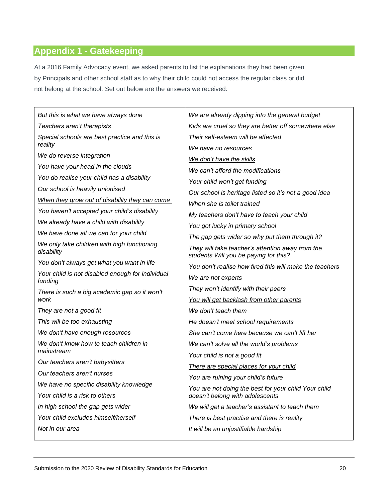# **Appendix 1 - Gatekeeping**

At a 2016 Family Advocacy event, we asked parents to list the explanations they had been given by Principals and other school staff as to why their child could not access the regular class or did not belong at the school. Set out below are the answers we received:

| But this is what we have always done                        | We are already dipping into the general budget                                            |
|-------------------------------------------------------------|-------------------------------------------------------------------------------------------|
| Teachers aren't therapists                                  | Kids are cruel so they are better off somewhere else                                      |
| Special schools are best practice and this is               | Their self-esteem will be affected                                                        |
| reality                                                     | We have no resources                                                                      |
| We do reverse integration                                   | We don't have the skills                                                                  |
| You have your head in the clouds                            | We can't afford the modifications                                                         |
| You do realise your child has a disability                  | Your child won't get funding                                                              |
| Our school is heavily unionised                             | Our school is heritage listed so it's not a good idea                                     |
| When they grow out of disability they can come              | When she is toilet trained                                                                |
| You haven't accepted your child's disability                | My teachers don't have to teach your child                                                |
| We already have a child with disability                     | You got lucky in primary school                                                           |
| We have done all we can for your child                      | The gap gets wider so why put them through it?                                            |
| We only take children with high functioning<br>disability   | They will take teacher's attention away from the<br>students Will you be paying for this? |
| You don't always get what you want in life                  | You don't realise how tired this will make the teachers                                   |
| Your child is not disabled enough for individual<br>funding | We are not experts                                                                        |
| There is such a big academic gap so it won't                | They won't identify with their peers                                                      |
| work                                                        | You will get backlash from other parents                                                  |
| They are not a good fit                                     | We don't teach them                                                                       |
| This will be too exhausting                                 | He doesn't meet school requirements                                                       |
| We don't have enough resources                              | She can't come here because we can't lift her                                             |
| We don't know how to teach children in                      | We can't solve all the world's problems                                                   |
| mainstream                                                  | Your child is not a good fit                                                              |
| Our teachers aren't babysitters                             | There are special places for your child                                                   |
| Our teachers aren't nurses                                  | You are ruining your child's future                                                       |
| We have no specific disability knowledge                    | You are not doing the best for your child Your child                                      |
| Your child is a risk to others                              | doesn't belong with adolescents                                                           |
| In high school the gap gets wider                           | We will get a teacher's assistant to teach them                                           |
| Your child excludes himself/herself                         | There is best practise and there is reality                                               |
|                                                             |                                                                                           |
| Not in our area                                             | It will be an unjustifiable hardship                                                      |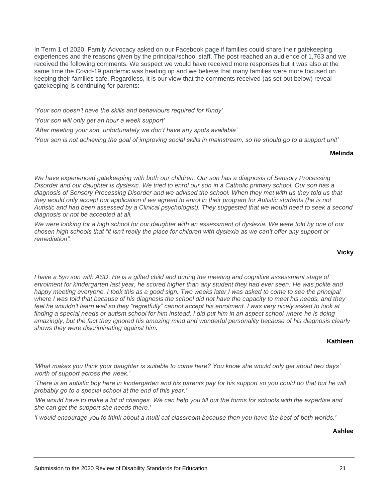In Term 1 of 2020, Family Advocacy asked on our Facebook page if families could share their gatekeeping experiences and the reasons given by the principal/school staff. The post reached an audience of 1,763 and we received the following comments. We suspect we would have received more responses but it was also at the same time the Covid-19 pandemic was heating up and we believe that many families were more focused on keeping their families safe. Regardless, it is our view that the comments received (as set out below) reveal gatekeeping is continuing for parents:

*'Your son doesn't have the skills and behaviours required for Kindy'*

*'Your son will only get an hour a week support'*

*'After meeting your son, unfortunately we don't have any spots available'*

*'Your son is not achieving the goal of improving social skills in mainstream, so he should go to a support unit'*

#### **Melinda**

*We have experienced gatekeeping with both our children. Our son has a diagnosis of Sensory Processing Disorder and our daughter is dyslexic. We tried to enrol our son in a Catholic primary school. Our son has a diagnosis of Sensory Processing Disorder and we advised the school. When they met with us they told us that*  they would only accept our application if we agreed to enrol in their program for Autistic students (he is not *Autistic and had been assessed by a Clinical psychologist). They suggested that we would need to seek a second diagnosis or not be accepted at all.* 

*We were looking for a high school for our daughter with an assessment of dyslexia. We were told by one of our chosen high schools that "it isn't really the place for children with dyslexia as we can't offer any support or remediation".* 

**Vicky** 

*I* have a 5yo son with ASD. He is a gifted child and during the meeting and cognitive assessment stage of enrolment for kindergarten last year, he scored higher than any student they had ever seen. He was polite and *happy meeting everyone. I took this as a good sign. Two weeks later I was asked to come to see the principal*  where I was told that because of his diagnosis the school did not have the capacity to meet his needs, and they feel he wouldn't learn well so they "regretfully" cannot accept his enrolment. I was very nicely asked to look at finding a special needs or autism school for him instead. I did put him in an aspect school where he is doing *amazingly, but the fact they ignored his amazing mind and wonderful personality because of his diagnosis clearly shows they were discriminating against him.*

#### **Kathleen**

*'What makes you think your daughter is suitable to come here? You know she would only get about two days' worth of support across the week.'* 

*'There is an autistic boy here in kindergarten and his parents pay for his support so you could do that but he will probably go to a special school at the end of this year.'*

*'We would have to make a lot of changes. We can help you fill out the forms for schools with the expertise and she can get the support she needs there.'*

*'I would encourage you to think about a multi cat classroom because then you have the best of both worlds.'*

**Ashlee**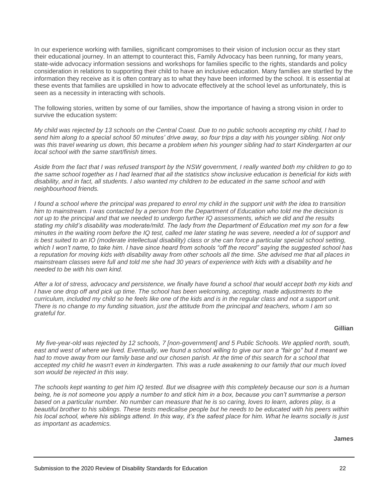In our experience working with families, significant compromises to their vision of inclusion occur as they start their educational journey. In an attempt to counteract this, Family Advocacy has been running, for many years, state-wide advocacy information sessions and workshops for families specific to the rights, standards and policy consideration in relations to supporting their child to have an inclusive education. Many families are startled by the information they receive as it is often contrary as to what they have been informed by the school. It is essential at these events that families are upskilled in how to advocate effectively at the school level as unfortunately, this is seen as a necessity in interacting with schools.

The following stories, written by some of our families, show the importance of having a strong vision in order to survive the education system:

*My child was rejected by 13 schools on the Central Coast. Due to no public schools accepting my child, I had to send him along to a special school 50 minutes' drive away, so four trips a day with his younger sibling. Not only was this travel wearing us down, this became a problem when his younger sibling had to start Kindergarten at our local school with the same start/finish times.*

*Aside from the fact that I was refused transport by the NSW government, I really wanted both my children to go to the same school together as I had learned that all the statistics show inclusive education is beneficial for kids with disability, and in fact, all students. I also wanted my children to be educated in the same school and with neighbourhood friends.*

*I found a school where the principal was prepared to enrol my child in the support unit with the idea to transition him to mainstream. I was contacted by a person from the Department of Education who told me the decision is not up to the principal and that we needed to undergo further IQ assessments, which we did and the results stating my child's disability was moderate/mild. The lady from the Department of Education met my son for a few minutes in the waiting room before the IQ test, called me later stating he was severe, needed a lot of support and is best suited to an IO (moderate intellectual disability) class or she can force a particular special school setting, which I won't name, to take him. I have since heard from schools "off the record" saying the suggested school has a reputation for moving kids with disability away from other schools all the time. She advised me that all places in mainstream classes were full and told me she had 30 years of experience with kids with a disability and he needed to be with his own kind.*

*After a lot of stress, advocacy and persistence, we finally have found a school that would accept both my kids and I* have one drop off and pick up time. The school has been welcoming, accepting, made adjustments to the *curriculum, included my child so he feels like one of the kids and is in the regular class and not a support unit. There is no change to my funding situation, just the attitude from the principal and teachers, whom I am so grateful for.*

#### **Gillian**

*My five-year-old was rejected by 12 schools, 7 [non-government] and 5 Public Schools. We applied north, south, east and west of where we lived. Eventually, we found a school willing to give our son a "fair go" but it meant we had to move away from our family base and our chosen parish. At the time of this search for a school that accepted my child he wasn't even in kindergarten. This was a rude awakening to our family that our much loved son would be rejected in this way.*

*The schools kept wanting to get him IQ tested. But we disagree with this completely because our son is a human being, he is not someone you apply a number to and stick him in a box, because you can't summarise a person based on a particular number. No number can measure that he is so caring, loves to learn, adores play, is a*  beautiful brother to his siblings. These tests medicalise people but he needs to be educated with his peers within *his local school, where his siblings attend. In this way, it's the safest place for him. What he learns socially is just as important as academics.*

#### **James**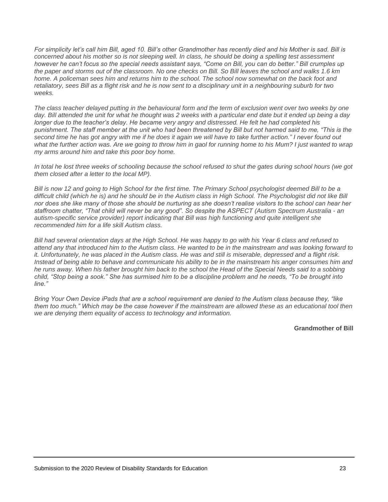*For simplicity let's call him Bill, aged 10. Bill's other Grandmother has recently died and his Mother is sad. Bill is concerned about his mother so is not sleeping well. In class, he should be doing a spelling test assessment however he can't focus so the special needs assistant says, "Come on Bill, you can do better." Bill crumples up the paper and storms out of the classroom. No one checks on Bill. So Bill leaves the school and walks 1.6 km home. A policeman sees him and returns him to the school. The school now somewhat on the back foot and retaliatory, sees Bill as a flight risk and he is now sent to a disciplinary unit in a neighbouring suburb for two weeks.*

*The class teacher delayed putting in the behavioural form and the term of exclusion went over two weeks by one day. Bill attended the unit for what he thought was 2 weeks with a particular end date but it ended up being a day longer due to the teacher's delay. He became very angry and distressed. He felt he had completed his punishment. The staff member at the unit who had been threatened by Bill but not harmed said to me, "This is the second time he has got angry with me if he does it again we will have to take further action." I never found out*  what the further action was. Are we going to throw him in gaol for running home to his Mum? I just wanted to wrap *my arms around him and take this poor boy home.*

*In total he lost three weeks of schooling because the school refused to shut the gates during school hours (we got them closed after a letter to the local MP).*

*Bill is now 12 and going to High School for the first time. The Primary School psychologist deemed Bill to be a difficult child (which he is) and he should be in the Autism class in High School. The Psychologist did not like Bill nor does she like many of those she should be nurturing as she doesn't realise visitors to the school can hear her staffroom chatter, "That child will never be any good". So despite the ASPECT (Autism Spectrum Australia - an autism-specific service provider) report indicating that Bill was high functioning and quite intelligent she recommended him for a life skill Autism class.*

*Bill had several orientation days at the High School. He was happy to go with his Year 6 class and refused to attend any that introduced him to the Autism class. He wanted to be in the mainstream and was looking forward to it. Unfortunately, he was placed in the Autism class. He was and still is miserable, depressed and a flight risk. Instead of being able to behave and communicate his ability to be in the mainstream his anger consumes him and he runs away. When his father brought him back to the school the Head of the Special Needs said to a sobbing child, "Stop being a sook." She has surmised him to be a discipline problem and he needs, "To be brought into line."*

*Bring Your Own Device iPads that are a school requirement are denied to the Autism class because they, "like them too much." Which may be the case however if the mainstream are allowed these as an educational tool then we are denying them equality of access to technology and information.*

**Grandmother of Bill**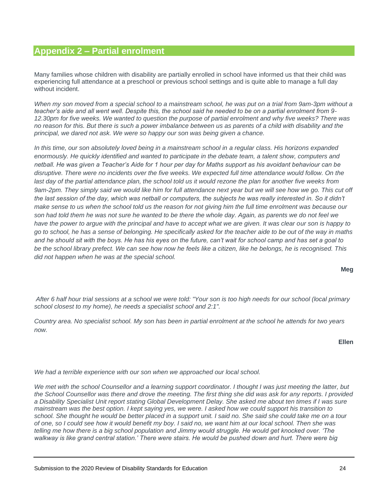## **Appendix 2 – Partial enrolment**

Many families whose children with disability are partially enrolled in school have informed us that their child was experiencing full attendance at a preschool or previous school settings and is quite able to manage a full day without incident.

*When my son moved from a special school to a mainstream school, he was put on a trial from 9am-3pm without a teacher's aide and all went well. Despite this, the school said he needed to be on a partial enrolment from 9- 12.30pm for five weeks. We wanted to question the purpose of partial enrolment and why five weeks? There was no reason for this. But there is such a power imbalance between us as parents of a child with disability and the principal, we dared not ask. We were so happy our son was being given a chance.*

*In this time, our son absolutely loved being in a mainstream school in a regular class. His horizons expanded*  enormously. He quickly identified and wanted to participate in the debate team, a talent show, computers and *netball. He was given a Teacher's Aide for 1 hour per day for Maths support as his avoidant behaviour can be* disruptive. There were no incidents over the five weeks. We expected full time attendance would follow. On the last day of the partial attendance plan, the school told us it would rezone the plan for another five weeks from 9am-2pm. They simply said we would like him for full attendance next year but we will see how we go. This cut off the last session of the day, which was netball or computers, the subjects he was really interested in. So it didn't *make sense to us when the school told us the reason for not giving him the full time enrolment was because our son had told them he was not sure he wanted to be there the whole day. Again, as parents we do not feel we have the power to argue with the principal and have to accept what we are given. It was clear our son is happy to go to school, he has a sense of belonging. He specifically asked for the teacher aide to be out of the way in maths and he should sit with the boys. He has his eyes on the future, can't wait for school camp and has set a goal to be the school library prefect. We can see how now he feels like a citizen, like he belongs, he is recognised. This did not happen when he was at the special school.*

**Meg**

*After 6 half hour trial sessions at a school we were told: "Your son is too high needs for our school (local primary school closest to my home), he needs a specialist school and 2:1".*

*Country area. No specialist school. My son has been in partial enrolment at the school he attends for two years now.*

**Ellen**

*We had a terrible experience with our son when we approached our local school.*

We met with the school Counsellor and a learning support coordinator. I thought I was just meeting the latter, but *the School Counsellor was there and drove the meeting. The first thing she did was ask for any reports. I provided a Disability Specialist Unit report stating Global Development Delay. She asked me about ten times if I was sure mainstream was the best option. I kept saying yes, we were. I asked how we could support his transition to*  school. She thought he would be better placed in a support unit. I said no. She said she could take me on a tour *of one, so I could see how it would benefit my boy. I said no, we want him at our local school. Then she was telling me how there is a big school population and Jimmy would struggle. He would get knocked over. 'The walkway is like grand central station.' There were stairs. He would be pushed down and hurt. There were big*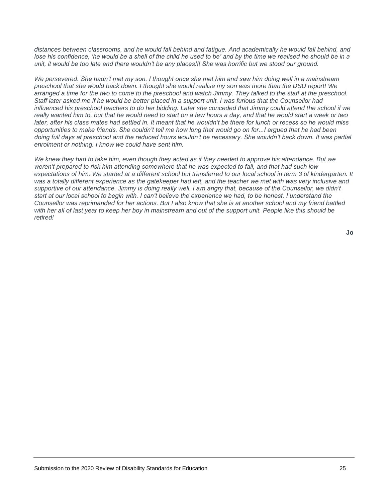distances between classrooms, and he would fall behind and fatigue. And academically he would fall behind, and lose his confidence, 'he would be a shell of the child he used to be' and by the time we realised he should be in a *unit, it would be too late and there wouldn't be any places!!! She was horrific but we stood our ground.*

*We persevered. She hadn't met my son. I thought once she met him and saw him doing well in a mainstream preschool that she would back down. I thought she would realise my son was more than the DSU report! We arranged a time for the two to come to the preschool and watch Jimmy. They talked to the staff at the preschool. Staff later asked me if he would be better placed in a support unit. I was furious that the Counsellor had influenced his preschool teachers to do her bidding. Later she conceded that Jimmy could attend the school if we* really wanted him to, but that he would need to start on a few hours a day, and that he would start a week or two *later, after his class mates had settled in. It meant that he wouldn't be there for lunch or recess so he would miss opportunities to make friends. She couldn't tell me how long that would go on for...I argued that he had been doing full days at preschool and the reduced hours wouldn't be necessary. She wouldn't back down. It was partial enrolment or nothing. I know we could have sent him.*

*We knew they had to take him, even though they acted as if they needed to approve his attendance. But we weren't prepared to risk him attending somewhere that he was expected to fail, and that had such low expectations of him. We started at a different school but transferred to our local school in term 3 of kindergarten. It was a totally different experience as the gatekeeper had left, and the teacher we met with was very inclusive and*  supportive of our attendance. Jimmy is doing really well. I am angry that, because of the Counsellor, we didn't *start at our local school to begin with. I can't believe the experience we had, to be honest. I understand the Counsellor was reprimanded for her actions. But I also know that she is at another school and my friend battled*  with her all of last year to keep her boy in mainstream and out of the support unit. People like this should be *retired!*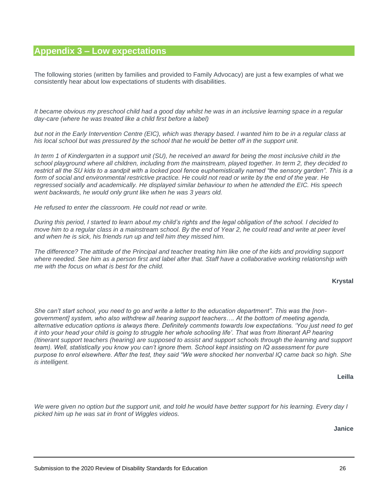## **Appendix 3 – Low expectations**

The following stories (written by families and provided to Family Advocacy) are just a few examples of what we consistently hear about low expectations of students with disabilities.

*It became obvious my preschool child had a good day whilst he was in an inclusive learning space in a regular day-care (where he was treated like a child first before a label)*

but not in the Early Intervention Centre (EIC), which was therapy based. I wanted him to be in a regular class at *his local school but was pressured by the school that he would be better off in the support unit.*

*In term 1 of Kindergarten in a support unit (SU), he received an award for being the most inclusive child in the school playground where all children, including from the mainstream, played together. In term 2, they decided to restrict all the SU kids to a sandpit with a locked pool fence euphemistically named "the sensory garden". This is a*  form of social and environmental restrictive practice. He could not read or write by the end of the year. He *regressed socially and academically. He displayed similar behaviour to when he attended the EIC. His speech went backwards, he would only grunt like when he was 3 years old.*

*He refused to enter the classroom. He could not read or write.*

*During this period, I started to learn about my child's rights and the legal obligation of the school. I decided to move him to a regular class in a mainstream school. By the end of Year 2, he could read and write at peer level and when he is sick, his friends run up and tell him they missed him.*

*The difference? The attitude of the Principal and teacher treating him like one of the kids and providing support*  where needed. See him as a person first and label after that. Staff have a collaborative working relationship with *me with the focus on what is best for the child.*

#### **Krystal**

*She can't start school, you need to go and write a letter to the education department". This was the [nongovernment] system, who also withdrew all hearing support teachers…. At the bottom of meeting agenda, alternative education options is always there. Definitely comments towards low expectations. 'You just need to get it into your head your child is going to struggle her whole schooling life'. That was from Itinerant AP hearing (Itinerant support teachers (hearing) are supposed to assist and support schools through the learning and support team). Well, statistically you know you can't ignore them. School kept insisting on IQ assessment for pure purpose to enrol elsewhere. After the test, they said "We were shocked her nonverbal IQ came back so high. She is intelligent.*

**Leilla**

We were given no option but the support unit, and told he would have better support for his learning. Every day I *picked him up he was sat in front of Wiggles videos.*

**Janice**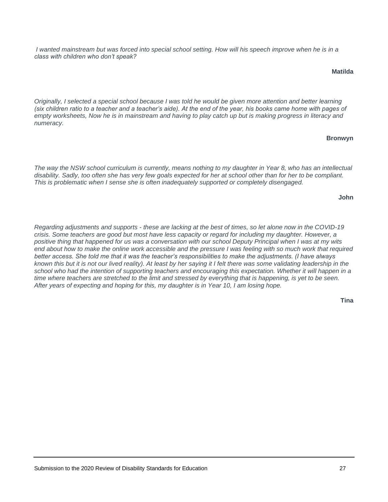*I* wanted mainstream but was forced into special school setting. How will his speech improve when he is in a *class with children who don't speak?*

#### **Matilda**

*Originally, I selected a special school because I was told he would be given more attention and better learning (six children ratio to a teacher and a teacher's aide). At the end of the year, his books came home with pages of empty worksheets, Now he is in mainstream and having to play catch up but is making progress in literacy and numeracy.*

#### **Bronwyn**

*The way the NSW school curriculum is currently, means nothing to my daughter in Year 8, who has an intellectual disability. Sadly, too often she has very few goals expected for her at school other than for her to be compliant. This is problematic when I sense she is often inadequately supported or completely disengaged.*

#### **John**

*Regarding adjustments and supports - these are lacking at the best of times, so let alone now in the COVID-19 crisis. Some teachers are good but most have less capacity or regard for including my daughter. However, a positive thing that happened for us was a conversation with our school Deputy Principal when I was at my wits end about how to make the online work accessible and the pressure I was feeling with so much work that required better access. She told me that it was the teacher's responsibilities to make the adjustments. (I have always known this but it is not our lived reality). At least by her saying it I felt there was some validating leadership in the school who had the intention of supporting teachers and encouraging this expectation. Whether it will happen in a*  time where teachers are stretched to the limit and stressed by everything that is happening, is yet to be seen. *After years of expecting and hoping for this, my daughter is in Year 10, I am losing hope.*

#### **Tina**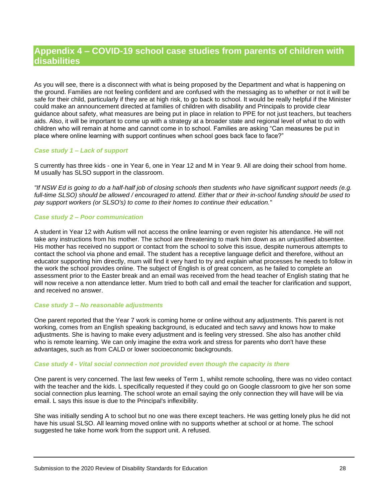## **Appendix 4 – COVID-19 school case studies from parents of children with disabilities**

As you will see, there is a disconnect with what is being proposed by the Department and what is happening on the ground. Families are not feeling confident and are confused with the messaging as to whether or not it will be safe for their child, particularly if they are at high risk, to go back to school. It would be really helpful if the Minister could make an announcement directed at families of children with disability and Principals to provide clear guidance about safety, what measures are being put in place in relation to PPE for not just teachers, but teachers aids. Also, it will be important to come up with a strategy at a broader state and regional level of what to do with children who will remain at home and cannot come in to school. Families are asking "Can measures be put in place where online learning with support continues when school goes back face to face?"

#### *Case study 1 – Lack of support*

S currently has three kids - one in Year 6, one in Year 12 and M in Year 9. All are doing their school from home. M usually has SLSO support in the classroom.

*"If NSW Ed is going to do a half-half job of closing schools then students who have significant support needs (e.g. full-time SLSO) should be allowed / encouraged to attend. Either that or their in-school funding should be used to pay support workers (or SLSO's) to come to their homes to continue their education."*

#### *Case study 2 – Poor communication*

A student in Year 12 with Autism will not access the online learning or even register his attendance. He will not take any instructions from his mother. The school are threatening to mark him down as an unjustified absentee. His mother has received no support or contact from the school to solve this issue, despite numerous attempts to contact the school via phone and email. The student has a receptive language deficit and therefore, without an educator supporting him directly, mum will find it very hard to try and explain what processes he needs to follow in the work the school provides online. The subject of English is of great concern, as he failed to complete an assessment prior to the Easter break and an email was received from the head teacher of English stating that he will now receive a non attendance letter. Mum tried to both call and email the teacher for clarification and support, and received no answer.

#### *Case study 3 – No reasonable adjustments*

One parent reported that the Year 7 work is coming home or online without any adjustments. This parent is not working, comes from an English speaking background, is educated and tech savvy and knows how to make adjustments. She is having to make every adjustment and is feeling very stressed. She also has another child who is remote learning. We can only imagine the extra work and stress for parents who don't have these advantages, such as from CALD or lower socioeconomic backgrounds.

#### *Case study 4 - Vital social connection not provided even though the capacity is there*

One parent is very concerned. The last few weeks of Term 1, whilst remote schooling, there was no video contact with the teacher and the kids. L specifically requested if they could go on Google classroom to give her son some social connection plus learning. The school wrote an email saying the only connection they will have will be via email. L says this issue is due to the Principal's inflexibility.

She was initially sending A to school but no one was there except teachers. He was getting lonely plus he did not have his usual SLSO. All learning moved online with no supports whether at school or at home. The school suggested he take home work from the support unit. A refused.